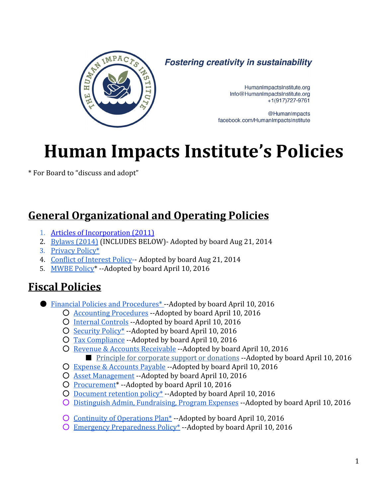

**Fostering creativity in sustainability** 

HumanImpactsInstitute.org Info@HumanImpactsInstitute.org  $+1(917)727-9761$ 

@HumanImpacts facebook.com/HumanImpactsInstitute

# **Human Impacts Institute's Policies**

\* For Board to "discuss and adopt"

### **General Organizational and Operating Policies**

- 1. Articles of [Incorporation](#page-2-0) (2011)
- 2. [Bylaws](#page-4-0) (2014) (INCLUDES BELOW) Adopted by board Aug 21, 2014
- 3. [Privacy](#page-12-0) Policy\*
- 4. Conflict of [Interest](#page-15-0) Policy-- Adopted by board Aug 21, 2014
- 5. [MWBE](#page-18-0) Policy<sup>\*</sup> --Adopted by board April 10, 2016

## **Fiscal Policies**

- Financial Policies and Procedures<sup>\*</sup> Adopted by board April 10, 2016
	- O Accounting [Procedures](#page-19-1) --Adopted by board April 10, 2016
	- O Internal [Controls](#page-20-0) --Adopted by board April 10, 2016
	- [Security](#page-21-0) Policy\* Adopted by board April 10, 2016
	- O Tax [Compliance](#page-22-0) -- Adopted by board April 10, 2016
	- O Revenue & Accounts [Receivable](#page-23-0) -- Adopted by board April 10, 2016 ■ Principle for corporate support or donations --Adopted by board April 10, 2016
	- O Expense & [Accounts](#page-25-0) Payable --Adopted by board April 10, 2016
	- O Asset [Management](#page-27-0) --Adopted by board April 10, 2016
	- O Procurement<sup>\*</sup> --Adopted by board April 10, 2016
	- O [Document](#page-31-0) retention policy<sup>\*</sup> --Adopted by board April 10, 2016
	- O Distinguish Admin, [Fundraising,](#page-32-0) Program Expenses -- Adopted by board April 10, 2016
	- O Continuity of [Operations](#page-33-0) Plan<sup>\*</sup> --Adopted by board April 10, 2016
	- O Emergency [Preparedness](#page-33-1) Policy<sup>\*</sup> -- Adopted by board April 10, 2016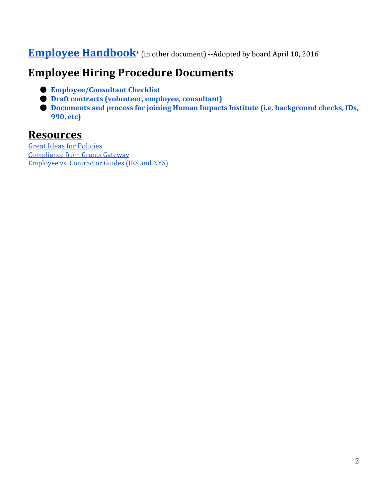### **Employee [Handbook](https://docs.google.com/document/d/1vKB1hMN9vf3nASqD_IGlZ2bo7nFU4Eb0GLuUTU4U0fY/edit#)**\* (in other document) --Adopted by board April 10, 2016

### **Employee Hiring Procedure Documents**

- **Employee/Consultant Checklist**
- **Draft contracts (volunteer, employee, consultant)**
- **Documents and process for joining Human Impacts Institute (i.e. background checks, IDs, 990, etc)**

### **Resources**

Great Ideas for [Policies](#page-35-0) Compliance from Grants Gateway Employee vs. [Contractor](#page-36-0) Guides (IRS and NYS)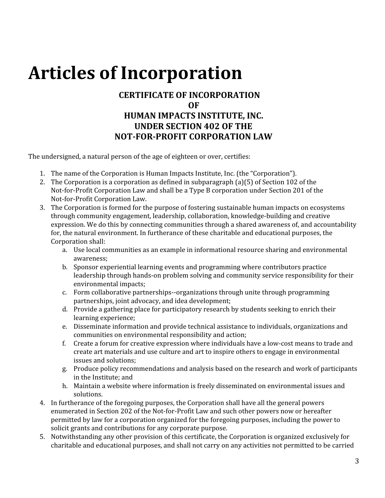# <span id="page-2-0"></span>**Articles of Incorporation**

#### **CERTIFICATE OF INCORPORATION OF HUMAN IMPACTS INSTITUTE, INC. UNDER SECTION 402 OF THE NOT-FOR-PROFIT CORPORATION LAW**

The undersigned, a natural person of the age of eighteen or over, certifies:

- 1. The name of the Corporation is Human Impacts Institute, Inc. (the "Corporation").
- 2. The Corporation is a corporation as defined in subparagraph (a)(5) of Section 102 of the Not-for-Profit Corporation Law and shall be a Type B corporation under Section 201 of the Not-for-Profit Corporation Law.
- 3. The Corporation is formed for the purpose of fostering sustainable human impacts on ecosystems through community engagement, leadership, collaboration, knowledge-building and creative expression. We do this by connecting communities through a shared awareness of, and accountability for, the natural environment. In furtherance of these charitable and educational purposes, the Corporation shall:
	- a. Use local communities as an example in informational resource sharing and environmental awareness;
	- b. Sponsor experiential learning events and programming where contributors practice leadership through hands-on problem solving and community service responsibility for their environmental impacts;
	- c. Form collaborative partnerships--organizations through unite through programming partnerships, joint advocacy, and idea development;
	- d. Provide a gathering place for participatory research by students seeking to enrich their learning experience;
	- e. Disseminate information and provide technical assistance to individuals, organizations and communities on environmental responsibility and action;
	- f. Create a forum for creative expression where individuals have a lowcost means to trade and create art materials and use culture and art to inspire others to engage in environmental issues and solutions;
	- g. Produce policy recommendations and analysis based on the research and work of participants in the Institute; and
	- h. Maintain a website where information is freely disseminated on environmental issues and solutions.
- 4. In furtherance of the foregoing purposes, the Corporation shall have all the general powers enumerated in Section 202 of the Not-for-Profit Law and such other powers now or hereafter permitted by law for a corporation organized for the foregoing purposes, including the power to solicit grants and contributions for any corporate purpose.
- 5. Notwithstanding any other provision of this certificate, the Corporation is organized exclusively for charitable and educational purposes, and shall not carry on any activities not permitted to be carried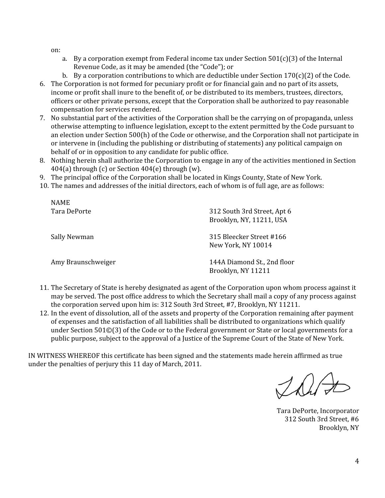on:

NAME

- a. By a corporation exempt from Federal income tax under Section  $501(c)(3)$  of the Internal Revenue Code, as it may be amended (the "Code"); or
- b. By a corporation contributions to which are deductible under Section  $170(c)(2)$  of the Code.
- 6. The Corporation is not formed for pecuniary profit or for financial gain and no part of its assets, income or profit shall inure to the benefit of, or be distributed to its members, trustees, directors, officers or other private persons, except that the Corporation shall be authorized to pay reasonable compensation for services rendered.
- 7. No substantial part of the activities of the Corporation shall be the carrying on of propaganda, unless otherwise attempting to influence legislation, except to the extent permitted by the Code pursuant to an election under Section 500(h) of the Code or otherwise, and the Corporation shall not participate in or intervene in (including the publishing or distributing of statements) any political campaign on behalf of or in opposition to any candidate for public office.
- 8. Nothing herein shall authorize the Corporation to engage in any of the activities mentioned in Section  $404(a)$  through (c) or Section  $404(e)$  through (w).
- 9. The principal office of the Corporation shall be located in Kings County, State of New York.
- 10. The names and addresses of the initial directors, each of whom is of full age, are as follows:

| 312 South 3rd Street, Apt 6<br>Brooklyn, NY, 11211, USA |
|---------------------------------------------------------|
| 315 Bleecker Street #166<br>New York, NY 10014          |
| 144A Diamond St., 2nd floor<br>Brooklyn, NY 11211       |
|                                                         |

- 11. The Secretary of State is hereby designated as agent of the Corporation upon whom process against it may be served. The post office address to which the Secretary shall mail a copy of any process against the corporation served upon him is: 312 South 3rd Street, #7, Brooklyn, NY 11211.
- 12. In the event of dissolution, all of the assets and property of the Corporation remaining after payment of expenses and the satisfaction of all liabilities shall be distributed to organizations which qualify under Section 501©(3) of the Code or to the Federal government or State or local governments for a public purpose, subject to the approval of a Justice of the Supreme Court of the State of New York.

IN WITNESS WHEREOF this certificate has been signed and the statements made herein affirmed as true under the penalties of perjury this 11 day of March, 2011.

This

Tara DePorte, Incorporator 312 South 3rd Street, #6 Brooklyn, NY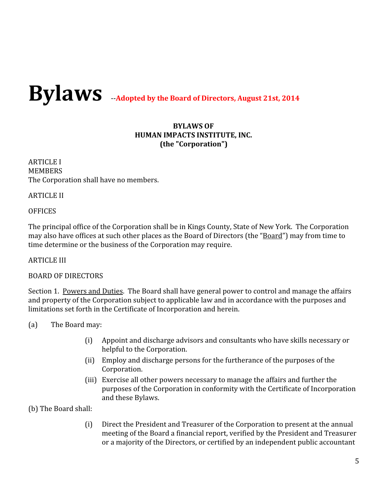# <span id="page-4-0"></span>**BylawsAdopted by the Board of Directors, August 21st, <sup>2014</sup>**

#### **BYLAWS OF HUMAN IMPACTS INSTITUTE, INC. (the "Corporation")**

ARTICLE I **MEMBERS** The Corporation shall have no members.

ARTICLE II

#### **OFFICES**

The principal office of the Corporation shall be in Kings County, State of New York. The Corporation may also have offices at such other places as the Board of Directors (the "Board") may from time to time determine or the business of the Corporation may require.

ARTICLE III

#### BOARD OF DIRECTORS

Section 1. Powers and Duties. The Board shall have general power to control and manage the affairs and property of the Corporation subject to applicable law and in accordance with the purposes and limitations set forth in the Certificate of Incorporation and herein.

- (a) The Board may:
	- (i) Appoint and discharge advisors and consultants who have skills necessary or helpful to the Corporation.
	- (ii) Employ and discharge persons for the furtherance of the purposes of the Corporation.
	- (iii) Exercise all other powers necessary to manage the affairs and further the purposes of the Corporation in conformity with the Certificate of Incorporation and these Bylaws.

(b) The Board shall:

(i) Direct the President and Treasurer of the Corporation to present at the annual meeting of the Board a financial report, verified by the President and Treasurer or a majority of the Directors, or certified by an independent public accountant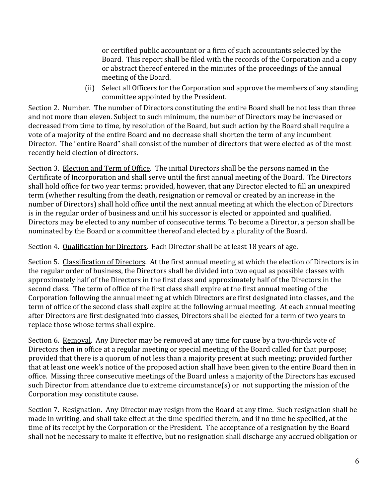or certified public accountant or a firm of such accountants selected by the Board. This report shall be filed with the records of the Corporation and a copy or abstract thereof entered in the minutes of the proceedings of the annual meeting of the Board.

(ii) Select all Officers for the Corporation and approve the members of any standing committee appointed by the President.

Section 2. Number. The number of Directors constituting the entire Board shall be not less than three and not more than eleven. Subject to such minimum, the number of Directors may be increased or decreased from time to time, by resolution of the Board, but such action by the Board shall require a vote of a majority of the entire Board and no decrease shall shorten the term of any incumbent Director. The "entire Board" shall consist of the number of directors that were elected as of the most recently held election of directors.

Section 3. Election and Term of Office. The initial Directors shall be the persons named in the Certificate of Incorporation and shall serve until the first annual meeting of the Board. The Directors shall hold office for two year terms; provided, however, that any Director elected to fill an unexpired term (whether resulting from the death, resignation or removal or created by an increase in the number of Directors) shall hold office until the next annual meeting at which the election of Directors is in the regular order of business and until his successor is elected or appointed and qualified. Directors may be elected to any number of consecutive terms. To become a Director, a person shall be nominated by the Board or a committee thereof and elected by a plurality of the Board.

Section 4. Qualification for Directors. Each Director shall be at least 18 years of age.

Section 5. Classification of Directors. At the first annual meeting at which the election of Directors is in the regular order of business, the Directors shall be divided into two equal as possible classes with approximately half of the Directors in the first class and approximately half of the Directors in the second class. The term of office of the first class shall expire at the first annual meeting of the Corporation following the annual meeting at which Directors are first designated into classes, and the term of office of the second class shall expire at the following annual meeting. At each annual meeting after Directors are first designated into classes, Directors shall be elected for a term of two years to replace those whose terms shall expire.

Section 6. Removal. Any Director may be removed at any time for cause by a two-thirds vote of Directors then in office at a regular meeting or special meeting of the Board called for that purpose; provided that there is a quorum of not less than a majority present at such meeting; provided further that at least one week's notice of the proposed action shall have been given to the entire Board then in office. Missing three consecutive meetings of the Board unless a majority of the Directors has excused such Director from attendance due to extreme circumstance(s) or not supporting the mission of the Corporation may constitute cause.

Section 7. Resignation. Any Director may resign from the Board at any time. Such resignation shall be made in writing, and shall take effect at the time specified therein, and if no time be specified, at the time of its receipt by the Corporation or the President. The acceptance of a resignation by the Board shall not be necessary to make it effective, but no resignation shall discharge any accrued obligation or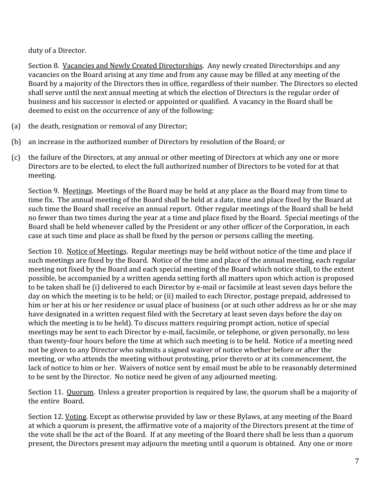duty of a Director.

Section 8. Vacancies and Newly Created Directorships. Any newly created Directorships and any vacancies on the Board arising at any time and from any cause may be filled at any meeting of the Board by a majority of the Directors then in office, regardless of their number. The Directors so elected shall serve until the next annual meeting at which the election of Directors is the regular order of business and his successor is elected or appointed or qualified. A vacancy in the Board shall be deemed to exist on the occurrence of any of the following:

- (a) the death, resignation or removal of any Director;
- (b) an increase in the authorized number of Directors by resolution of the Board; or
- (c) the failure of the Directors, at any annual or other meeting of Directors at which any one or more Directors are to be elected, to elect the full authorized number of Directors to be voted for at that meeting.

Section 9. Meetings. Meetings of the Board may be held at any place as the Board may from time to time fix. The annual meeting of the Board shall be held at a date, time and place fixed by the Board at such time the Board shall receive an annual report. Other regular meetings of the Board shall be held no fewer than two times during the year at a time and place fixed by the Board. Special meetings of the Board shall be held whenever called by the President or any other officer of the Corporation, in each case at such time and place as shall be fixed by the person or persons calling the meeting.

Section 10. Notice of Meetings. Regular meetings may be held without notice of the time and place if such meetings are fixed by the Board. Notice of the time and place of the annual meeting, each regular meeting not fixed by the Board and each special meeting of the Board which notice shall, to the extent possible, be accompanied by a written agenda setting forth all matters upon which action is proposed to be taken shall be (i) delivered to each Director by e-mail or facsimile at least seven days before the day on which the meeting is to be held; or (ii) mailed to each Director, postage prepaid, addressed to him or her at his or her residence or usual place of business (or at such other address as he or she may have designated in a written request filed with the Secretary at least seven days before the day on which the meeting is to be held). To discuss matters requiring prompt action, notice of special meetings may be sent to each Director by e-mail, facsimile, or telephone, or given personally, no less than twenty-four hours before the time at which such meeting is to be held. Notice of a meeting need not be given to any Director who submits a signed waiver of notice whether before or after the meeting, or who attends the meeting without protesting, prior thereto or at its commencement, the lack of notice to him or her. Waivers of notice sent by email must be able to be reasonably determined to be sent by the Director. No notice need be given of any adjourned meeting.

Section 11. Quorum. Unless a greater proportion is required by law, the quorum shall be a majority of the entire Board.

Section 12. Voting. Except as otherwise provided by law or these Bylaws, at any meeting of the Board at which a quorum is present, the affirmative vote of a majority of the Directors present at the time of the vote shall be the act of the Board. If at any meeting of the Board there shall be less than a quorum present, the Directors present may adjourn the meeting until a quorum is obtained. Any one or more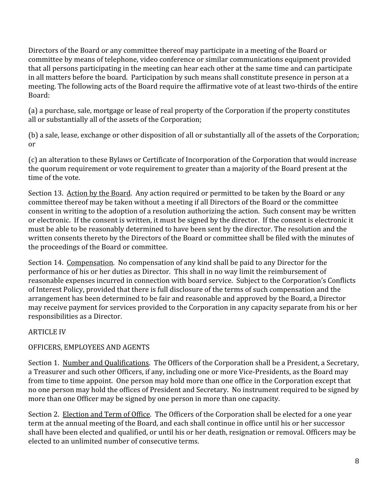Directors of the Board or any committee thereof may participate in a meeting of the Board or committee by means of telephone, video conference or similar communications equipment provided that all persons participating in the meeting can hear each other at the same time and can participate in all matters before the board. Participation by such means shall constitute presence in person at a meeting. The following acts of the Board require the affirmative vote of at least two-thirds of the entire Board:

(a) a purchase, sale, mortgage or lease of real property of the Corporation if the property constitutes all or substantially all of the assets of the Corporation;

(b) a sale, lease, exchange or other disposition of all or substantially all of the assets of the Corporation; or

(c) an alteration to these Bylaws or Certificate of Incorporation of the Corporation that would increase the quorum requirement or vote requirement to greater than a majority of the Board present at the time of the vote.

Section 13. Action by the Board. Any action required or permitted to be taken by the Board or any committee thereof may be taken without a meeting if all Directors of the Board or the committee consent in writing to the adoption of a resolution authorizing the action. Such consent may be written or electronic. If the consent is written, it must be signed by the director. If the consent is electronic it must be able to be reasonably determined to have been sent by the director. The resolution and the written consents thereto by the Directors of the Board or committee shall be filed with the minutes of the proceedings of the Board or committee.

Section 14. Compensation. No compensation of any kind shall be paid to any Director for the performance of his or her duties as Director. This shall in no way limit the reimbursement of reasonable expenses incurred in connection with board service. Subject to the Corporation's Conflicts of Interest Policy, provided that there is full disclosure of the terms of such compensation and the arrangement has been determined to be fair and reasonable and approved by the Board, a Director may receive payment for services provided to the Corporation in any capacity separate from his or her responsibilities as a Director.

#### ARTICLE IV

#### OFFICERS, EMPLOYEES AND AGENTS

Section 1. Number and Qualifications. The Officers of the Corporation shall be a President, a Secretary, a Treasurer and such other Officers, if any, including one or more Vice-Presidents, as the Board may from time to time appoint. One person may hold more than one office in the Corporation except that no one person may hold the offices of President and Secretary. No instrument required to be signed by more than one Officer may be signed by one person in more than one capacity.

Section 2. Election and Term of Office. The Officers of the Corporation shall be elected for a one year term at the annual meeting of the Board, and each shall continue in office until his or her successor shall have been elected and qualified, or until his or her death, resignation or removal. Officers may be elected to an unlimited number of consecutive terms.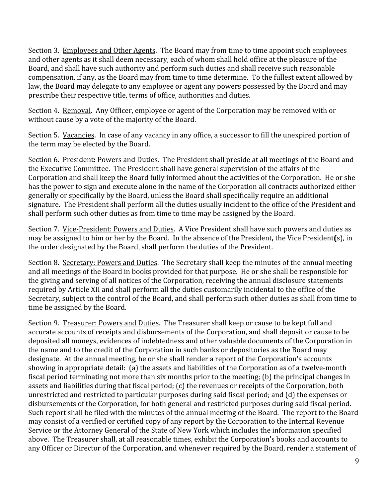Section 3. Employees and Other Agents. The Board may from time to time appoint such employees and other agents as it shall deem necessary, each of whom shall hold office at the pleasure of the Board, and shall have such authority and perform such duties and shall receive such reasonable compensation, if any, as the Board may from time to time determine. To the fullest extent allowed by law, the Board may delegate to any employee or agent any powers possessed by the Board and may prescribe their respective title, terms of office, authorities and duties.

Section 4. Removal. Any Officer, employee or agent of the Corporation may be removed with or without cause by a vote of the majority of the Board.

Section 5. Vacancies. In case of any vacancy in any office, a successor to fill the unexpired portion of the term may be elected by the Board.

Section 6. President**:** Powers and Duties. The President shall preside at all meetings of the Board and the Executive Committee. The President shall have general supervision of the affairs of the Corporation and shall keep the Board fully informed about the activities of the Corporation. He or she has the power to sign and execute alone in the name of the Corporation all contracts authorized either generally or specifically by the Board, unless the Board shall specifically require an additional signature. The President shall perform all the duties usually incident to the office of the President and shall perform such other duties as from time to time may be assigned by the Board.

Section 7. Vice-President: Powers and Duties. A Vice President shall have such powers and duties as may be assigned to him or her by the Board. In the absence of the President**,** the Vice President**(**s), in the order designated by the Board, shall perform the duties of the President.

Section 8. Secretary: Powers and Duties. The Secretary shall keep the minutes of the annual meeting and all meetings of the Board in books provided for that purpose. He or she shall be responsible for the giving and serving of all notices of the Corporation, receiving the annual disclosure statements required by Article XII and shall perform all the duties customarily incidental to the office of the Secretary, subject to the control of the Board, and shall perform such other duties as shall from time to time be assigned by the Board.

Section 9. Treasurer: Powers and Duties. The Treasurer shall keep or cause to be kept full and accurate accounts of receipts and disbursements of the Corporation, and shall deposit or cause to be deposited all moneys, evidences of indebtedness and other valuable documents of the Corporation in the name and to the credit of the Corporation in such banks or depositories as the Board may designate. At the annual meeting, he or she shall render a report of the Corporation's accounts showing in appropriate detail: (a) the assets and liabilities of the Corporation as of a twelve-month fiscal period terminating not more than six months prior to the meeting; (b) the principal changes in assets and liabilities during that fiscal period; (c) the revenues or receipts of the Corporation, both unrestricted and restricted to particular purposes during said fiscal period; and (d) the expenses or disbursements of the Corporation, for both general and restricted purposes during said fiscal period. Such report shall be filed with the minutes of the annual meeting of the Board. The report to the Board may consist of a verified or certified copy of any report by the Corporation to the Internal Revenue Service or the Attorney General of the State of New York which includes the information specified above. The Treasurer shall, at all reasonable times, exhibit the Corporation's books and accounts to any Officer or Director of the Corporation, and whenever required by the Board, render a statement of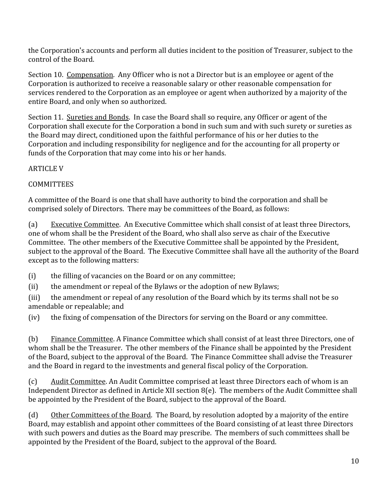the Corporation's accounts and perform all duties incident to the position of Treasurer, subject to the control of the Board.

Section 10. Compensation. Any Officer who is not a Director but is an employee or agent of the Corporation is authorized to receive a reasonable salary or other reasonable compensation for services rendered to the Corporation as an employee or agent when authorized by a majority of the entire Board, and only when so authorized.

Section 11. Sureties and Bonds. In case the Board shall so require, any Officer or agent of the Corporation shall execute for the Corporation a bond in such sum and with such surety or sureties as the Board may direct, conditioned upon the faithful performance of his or her duties to the Corporation and including responsibility for negligence and for the accounting for all property or funds of the Corporation that may come into his or her hands.

#### ARTICLE V

#### **COMMITTEES**

A committee of the Board is one that shall have authority to bind the corporation and shall be comprised solely of Directors. There may be committees of the Board, as follows:

(a) Executive Committee. An Executive Committee which shall consist of at least three Directors, one of whom shall be the President of the Board, who shall also serve as chair of the Executive Committee. The other members of the Executive Committee shall be appointed by the President, subject to the approval of the Board. The Executive Committee shall have all the authority of the Board except as to the following matters:

(i) the filling of vacancies on the Board or on any committee;

(ii) the amendment or repeal of the Bylaws or the adoption of new Bylaws;

(iii) the amendment or repeal of any resolution of the Board which by its terms shall not be so amendable or repealable; and

(iv) the fixing of compensation of the Directors for serving on the Board or any committee.

(b) Finance Committee. A Finance Committee which shall consist of at least three Directors, one of whom shall be the Treasurer. The other members of the Finance shall be appointed by the President of the Board, subject to the approval of the Board. The Finance Committee shall advise the Treasurer and the Board in regard to the investments and general fiscal policy of the Corporation.

(c) Audit Committee. An Audit Committee comprised at least three Directors each of whom is an Independent Director as defined in Article XII section 8(e). The members of the Audit Committee shall be appointed by the President of the Board, subject to the approval of the Board.

(d) Other Committees of the Board. The Board, by resolution adopted by a majority of the entire Board, may establish and appoint other committees of the Board consisting of at least three Directors with such powers and duties as the Board may prescribe. The members of such committees shall be appointed by the President of the Board, subject to the approval of the Board.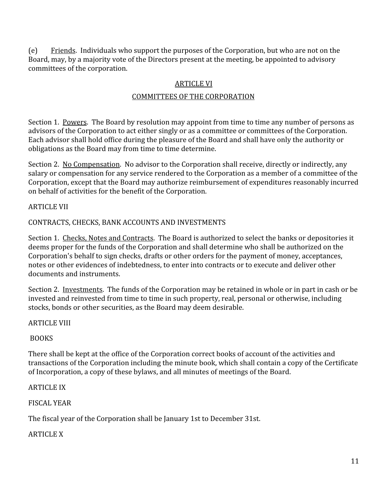(e) Friends. Individuals who support the purposes of the Corporation, but who are not on the Board, may, by a majority vote of the Directors present at the meeting, be appointed to advisory committees of the corporation.

#### ARTICLE VI

#### COMMITTEES OF THE CORPORATION

Section 1. Powers. The Board by resolution may appoint from time to time any number of persons as advisors of the Corporation to act either singly or as a committee or committees of the Corporation. Each advisor shall hold office during the pleasure of the Board and shall have only the authority or obligations as the Board may from time to time determine.

Section 2. No Compensation. No advisor to the Corporation shall receive, directly or indirectly, any salary or compensation for any service rendered to the Corporation as a member of a committee of the Corporation, except that the Board may authorize reimbursement of expenditures reasonably incurred on behalf of activities for the benefit of the Corporation.

#### ARTICLE VII

#### CONTRACTS, CHECKS, BANK ACCOUNTS AND INVESTMENTS

Section 1. Checks, Notes and Contracts. The Board is authorized to select the banks or depositories it deems proper for the funds of the Corporation and shall determine who shall be authorized on the Corporation's behalf to sign checks, drafts or other orders for the payment of money, acceptances, notes or other evidences of indebtedness, to enter into contracts or to execute and deliver other documents and instruments.

Section 2. Investments. The funds of the Corporation may be retained in whole or in part in cash or be invested and reinvested from time to time in such property, real, personal or otherwise, including stocks, bonds or other securities, as the Board may deem desirable.

#### ARTICLE VIII

#### BOOKS

There shall be kept at the office of the Corporation correct books of account of the activities and transactions of the Corporation including the minute book, which shall contain a copy of the Certificate of Incorporation, a copy of these bylaws, and all minutes of meetings of the Board.

#### ARTICLE IX

#### FISCAL YEAR

The fiscal year of the Corporation shall be January 1st to December 31st.

#### ARTICLE X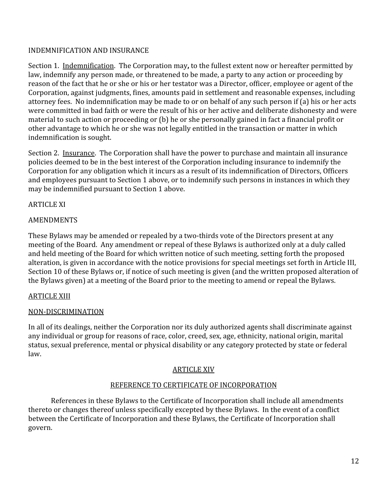#### INDEMNIFICATION AND INSURANCE

Section 1. Indemnification. The Corporation may**,** to the fullest extent now or hereafter permitted by law, indemnify any person made, or threatened to be made, a party to any action or proceeding by reason of the fact that he or she or his or her testator was a Director, officer, employee or agent of the Corporation, against judgments, fines, amounts paid in settlement and reasonable expenses, including attorney fees. No indemnification may be made to or on behalf of any such person if (a) his or her acts were committed in bad faith or were the result of his or her active and deliberate dishonesty and were material to such action or proceeding or (b) he or she personally gained in fact a financial profit or other advantage to which he or she was not legally entitled in the transaction or matter in which indemnification is sought.

Section 2. Insurance. The Corporation shall have the power to purchase and maintain all insurance policies deemed to be in the best interest of the Corporation including insurance to indemnify the Corporation for any obligation which it incurs as a result of its indemnification of Directors, Officers and employees pursuant to Section 1 above, or to indemnify such persons in instances in which they may be indemnified pursuant to Section 1 above.

#### ARTICLE XI

#### AMENDMENTS

These Bylaws may be amended or repealed by a two-thirds vote of the Directors present at any meeting of the Board. Any amendment or repeal of these Bylaws is authorized only at a duly called and held meeting of the Board for which written notice of such meeting, setting forth the proposed alteration, is given in accordance with the notice provisions for special meetings set forth in Article III, Section 10 of these Bylaws or, if notice of such meeting is given (and the written proposed alteration of the Bylaws given) at a meeting of the Board prior to the meeting to amend or repeal the Bylaws.

#### ARTICLE XIII

#### NON-DISCRIMINATION

In all of its dealings, neither the Corporation nor its duly authorized agents shall discriminate against any individual or group for reasons of race, color, creed, sex, age, ethnicity, national origin, marital status, sexual preference, mental or physical disability or any category protected by state or federal law.

#### ARTICLE XIV

#### REFERENCE TO CERTIFICATE OF INCORPORATION

References in these Bylaws to the Certificate of Incorporation shall include all amendments thereto or changes thereof unless specifically excepted by these Bylaws. In the event of a conflict between the Certificate of Incorporation and these Bylaws, the Certificate of Incorporation shall govern.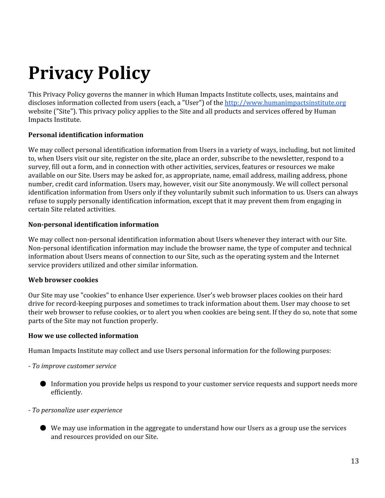# <span id="page-12-0"></span>**Privacy Policy**

This Privacy Policy governs the manner in which Human Impacts Institute collects, uses, maintains and discloses information collected from users (each, a "User") of the [http://www.humanimpactsinstitute.org](http://www.humanimpactsinstitute.org/) website ("Site"). This privacy policy applies to the Site and all products and services offered by Human Impacts Institute.

#### **Personal identification information**

We may collect personal identification information from Users in a variety of ways, including, but not limited to, when Users visit our site, register on the site, place an order, subscribe to the newsletter, respond to a survey, fill out a form, and in connection with other activities, services, features or resources we make available on our Site. Users may be asked for, as appropriate, name, email address, mailing address, phone number, credit card information. Users may, however, visit our Site anonymously. We will collect personal identification information from Users only if they voluntarily submit such information to us. Users can always refuse to supply personally identification information, except that it may prevent them from engaging in certain Site related activities.

#### **Non-personal identification information**

We may collect non-personal identification information about Users whenever they interact with our Site. Non-personal identification information may include the browser name, the type of computer and technical information about Users means of connection to our Site, such as the operating system and the Internet service providers utilized and other similar information.

#### **Web browser cookies**

Our Site may use "cookies" to enhance User experience. User's web browser places cookies on their hard drive for record-keeping purposes and sometimes to track information about them. User may choose to set their web browser to refuse cookies, or to alert you when cookies are being sent. If they do so, note that some parts of the Site may not function properly.

#### **How we use collected information**

Human Impacts Institute may collect and use Users personal information for the following purposes:

- *To improve customer service*
	- Information you provide helps us respond to your customer service requests and support needs more efficiently.
- *To personalize user experience*
	- We may use information in the aggregate to understand how our Users as a group use the services and resources provided on our Site.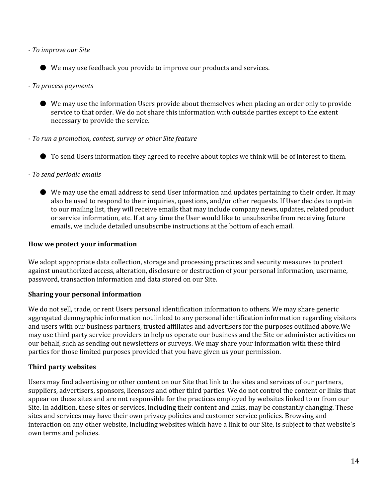*To improve our Site*

● We may use feedback you provide to improve our products and services.

- *To process payments*
	- We may use the information Users provide about themselves when placing an order only to provide service to that order. We do not share this information with outside parties except to the extent necessary to provide the service.
- *To run a promotion, contest, survey or other Site feature*
	- To send Users information they agreed to receive about topics we think will be of interest to them.
- *To send periodic emails*
	- We may use the email address to send User information and updates pertaining to their order. It may also be used to respond to their inquiries, questions, and/or other requests. If User decides to opt-in to our mailing list, they will receive emails that may include company news, updates, related product or service information, etc. If at any time the User would like to unsubscribe from receiving future emails, we include detailed unsubscribe instructions at the bottom of each email.

#### **How we protect your information**

We adopt appropriate data collection, storage and processing practices and security measures to protect against unauthorized access, alteration, disclosure or destruction of your personal information, username, password, transaction information and data stored on our Site.

#### **Sharing your personal information**

We do not sell, trade, or rent Users personal identification information to others. We may share generic aggregated demographic information not linked to any personal identification information regarding visitors and users with our business partners, trusted affiliates and advertisers for the purposes outlined above.We may use third party service providers to help us operate our business and the Site or administer activities on our behalf, such as sending out newsletters or surveys. We may share your information with these third parties for those limited purposes provided that you have given us your permission.

#### **Third party websites**

Users may find advertising or other content on our Site that link to the sites and services of our partners, suppliers, advertisers, sponsors, licensors and other third parties. We do not control the content or links that appear on these sites and are not responsible for the practices employed by websites linked to or from our Site. In addition, these sites or services, including their content and links, may be constantly changing. These sites and services may have their own privacy policies and customer service policies. Browsing and interaction on any other website, including websites which have a link to our Site, is subject to that website's own terms and policies.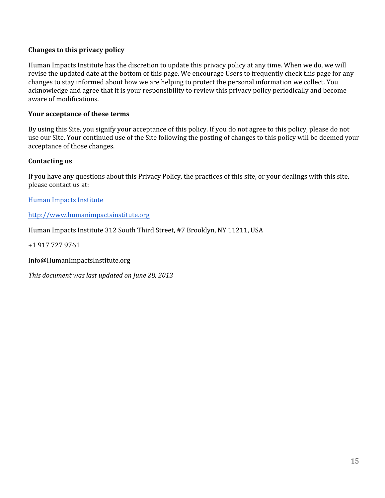#### **Changes to this privacy policy**

Human Impacts Institute has the discretion to update this privacy policy at any time. When we do, we will revise the updated date at the bottom of this page. We encourage Users to frequently check this page for any changes to stay informed about how we are helping to protect the personal information we collect. You acknowledge and agree that it is your responsibility to review this privacy policy periodically and become aware of modifications.

#### **Your acceptance of these terms**

By using this Site, you signify your acceptance of this policy. If you do not agree to this policy, please do not use our Site. Your continued use of the Site following the posting of changes to this policy will be deemed your acceptance of those changes.

#### **Contacting us**

If you have any questions about this Privacy Policy, the practices of this site, or your dealings with this site, please contact us at:

Human Impacts [Institute](http://www.humanimpactsinstitute.org/)

[http://www.humanimpactsinstitute.org](http://www.humanimpactsinstitute.org/)

Human Impacts Institute 312 South Third Street, #7 Brooklyn, NY 11211, USA

+1 917 727 9761

Info@HumanImpactsInstitute.org

*This document was last updated on June 28, 2013*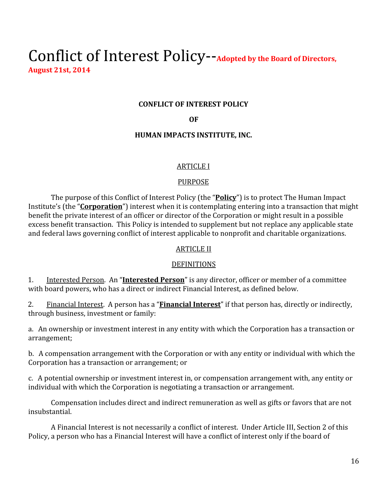### <span id="page-15-0"></span>Conflict of Interest Policy-Adopted by the Board of Directors, **August 21st, 2014**

#### **CONFLICT OF INTEREST POLICY**

#### **OF**

#### **HUMAN IMPACTS INSTITUTE, INC.**

#### ARTICLE I

#### PURPOSE

The purpose of this Conflict of Interest Policy (the "**Policy**") is to protect The Human Impact Institute's (the "**Corporation**") interest when it is contemplating entering into a transaction that might benefit the private interest of an officer or director of the Corporation or might result in a possible excess benefit transaction. This Policy is intended to supplement but not replace any applicable state and federal laws governing conflict of interest applicable to nonprofit and charitable organizations.

#### ARTICLE II

#### DEFINITIONS

1. Interested Person. An "**InterestedPerson**" is any director, officer or member of a committee with board powers, who has a direct or indirect Financial Interest, as defined below.

2. Financial Interest. A person has a "**Financial Interest**" if that person has, directly or indirectly, through business, investment or family:

a. An ownership or investment interest in any entity with which the Corporation has a transaction or arrangement;

b. A compensation arrangement with the Corporation or with any entity or individual with which the Corporation has a transaction or arrangement; or

c. A potential ownership or investment interest in, or compensation arrangement with, any entity or individual with which the Corporation is negotiating a transaction or arrangement.

Compensation includes direct and indirect remuneration as well as gifts or favors that are not insubstantial.

A Financial Interest is not necessarily a conflict of interest. Under Article III, Section 2 of this Policy, a person who has a Financial Interest will have a conflict of interest only if the board of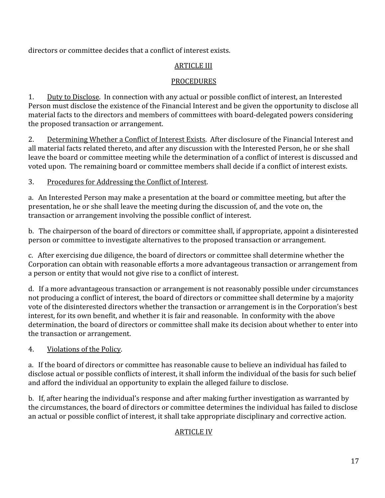directors or committee decides that a conflict of interest exists.

#### ARTICLE III

#### PROCEDURES

1. Duty to Disclose. In connection with any actual or possible conflict of interest, an Interested Person must disclose the existence of the Financial Interest and be given the opportunity to disclose all material facts to the directors and members of committees with board-delegated powers considering the proposed transaction or arrangement.

2. Determining Whether a Conflict of Interest Exists. After disclosure of the Financial Interest and all material facts related thereto, and after any discussion with the Interested Person, he or she shall leave the board or committee meeting while the determination of a conflict of interest is discussed and voted upon. The remaining board or committee members shall decide if a conflict of interest exists.

#### 3. Procedures for Addressing the Conflict of Interest.

a. An Interested Person may make a presentation at the board or committee meeting, but after the presentation, he or she shall leave the meeting during the discussion of, and the vote on, the transaction or arrangement involving the possible conflict of interest.

b. The chairperson of the board of directors or committee shall, if appropriate, appoint a disinterested person or committee to investigate alternatives to the proposed transaction or arrangement.

c. After exercising due diligence, the board of directors or committee shall determine whether the Corporation can obtain with reasonable efforts a more advantageous transaction or arrangement from a person or entity that would not give rise to a conflict of interest.

d. If a more advantageous transaction or arrangement is not reasonably possible under circumstances not producing a conflict of interest, the board of directors or committee shall determine by a majority vote of the disinterested directors whether the transaction or arrangement is in the Corporation's best interest, for its own benefit, and whether it is fair and reasonable. In conformity with the above determination, the board of directors or committee shall make its decision about whether to enter into the transaction or arrangement.

#### 4. Violations of the Policy.

a. If the board of directors or committee has reasonable cause to believe an individual has failed to disclose actual or possible conflicts of interest, it shall inform the individual of the basis for such belief and afford the individual an opportunity to explain the alleged failure to disclose.

b. If, after hearing the individual's response and after making further investigation as warranted by the circumstances, the board of directors or committee determines the individual has failed to disclose an actual or possible conflict of interest, it shall take appropriate disciplinary and corrective action.

#### ARTICLE IV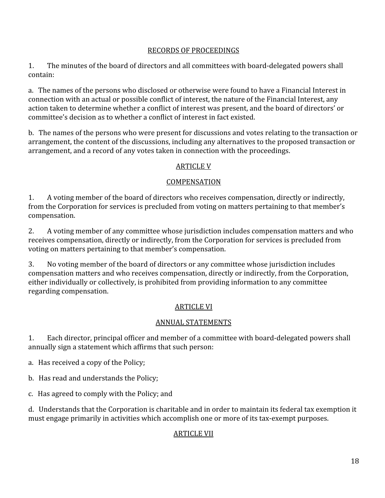#### RECORDS OF PROCEEDINGS

1. The minutes of the board of directors and all committees with board-delegated powers shall contain:

a. The names of the persons who disclosed or otherwise were found to have a Financial Interest in connection with an actual or possible conflict of interest, the nature of the Financial Interest, any action taken to determine whether a conflict of interest was present, and the board of directors' or committee's decision as to whether a conflict of interest in fact existed.

b. The names of the persons who were present for discussions and votes relating to the transaction or arrangement, the content of the discussions, including any alternatives to the proposed transaction or arrangement, and a record of any votes taken in connection with the proceedings.

#### ARTICLE V

#### COMPENSATION

1. A voting member of the board of directors who receives compensation, directly or indirectly, from the Corporation for services is precluded from voting on matters pertaining to that member's compensation.

2. A voting member of any committee whose jurisdiction includes compensation matters and who receives compensation, directly or indirectly, from the Corporation for services is precluded from voting on matters pertaining to that member's compensation.

3. No voting member of the board of directors or any committee whose jurisdiction includes compensation matters and who receives compensation, directly or indirectly, from the Corporation, either individually or collectively, is prohibited from providing information to any committee regarding compensation.

#### ARTICLE VI

#### ANNUAL STATEMENTS

1. Each director, principal officer and member of a committee with board-delegated powers shall annually sign a statement which affirms that such person:

a. Has received a copy of the Policy;

b. Has read and understands the Policy;

c. Has agreed to comply with the Policy; and

d. Understands that the Corporation is charitable and in order to maintain its federal tax exemption it must engage primarily in activities which accomplish one or more of its tax-exempt purposes.

#### ARTICLE VII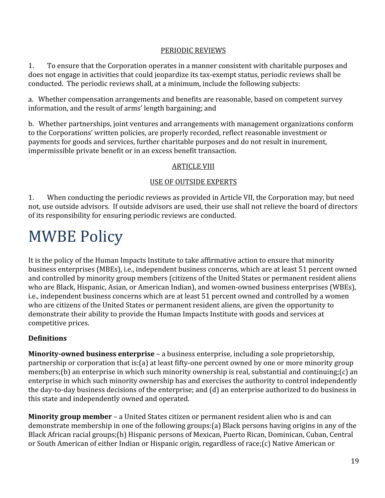#### PERIODIC REVIEWS

1. To ensure that the Corporation operates in a manner consistent with charitable purposes and does not engage in activities that could jeopardize its tax-exempt status, periodic reviews shall be conducted. The periodic reviews shall, at a minimum, include the following subjects:

a. Whether compensation arrangements and benefits are reasonable, based on competent survey information, and the result of arms' length bargaining; and

b. Whether partnerships, joint ventures and arrangements with management organizations conform to the Corporations' written policies, are properly recorded, reflect reasonable investment or payments for goods and services, further charitable purposes and do not result in inurement, impermissible private benefit or in an excess benefit transaction.

#### ARTICLE VIII

#### USE OF OUTSIDE EXPERTS

1. When conducting the periodic reviews as provided in Article VII, the Corporation may, but need not, use outside advisors. If outside advisors are used, their use shall not relieve the board of directors of its responsibility for ensuring periodic reviews are conducted.

# <span id="page-18-0"></span>MWBE Policy

It is the policy of the Human Impacts Institute to take affirmative action to ensure that minority business enterprises (MBEs), i.e., independent business concerns, which are at least 51 percent owned and controlled by minority group members (citizens of the United States or permanent resident aliens who are Black, Hispanic, Asian, or American Indian), and women-owned business enterprises (WBEs), i.e., independent business concerns which are at least 51 percent owned and controlled by a women who are citizens of the United States or permanent resident aliens, are given the opportunity to demonstrate their ability to provide the Human Impacts Institute with goods and services at competitive prices.

#### **Definitions**

**Minority-owned business enterprise** – a business enterprise, including a sole proprietorship, partnership or corporation that is:(a) at least fifty-one percent owned by one or more minority group members;(b) an enterprise in which such minority ownership is real, substantial and continuing;(c) an enterprise in which such minority ownership has and exercises the authority to control independently the day-to-day business decisions of the enterprise; and (d) an enterprise authorized to do business in this state and independently owned and operated.

**Minority group member**– a United States citizen or permanent resident alien who is and can demonstrate membership in one of the following groups:(a) Black persons having origins in any of the Black African racial groups;(b) Hispanic persons of Mexican, Puerto Rican, Dominican, Cuban, Central or South American of either Indian or Hispanic origin, regardless of race;(c) Native American or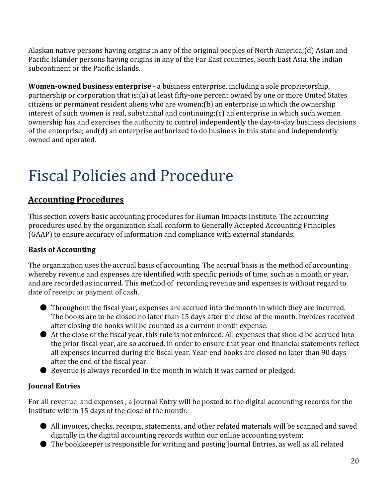Alaskan native persons having origins in any of the original peoples of North America;(d) Asian and Pacific Islander persons having origins in any of the Far East countries, South East Asia, the Indian subcontinent or the Pacific Islands.

**Women-owned business enterprise** - a business enterprise, including a sole proprietorship, partnership or corporation that is: (a) at least fifty-one percent owned by one or more United States citizens or permanent resident aliens who are women;(b) an enterprise in which the ownership interest of such women is real, substantial and continuing;(c) an enterprise in which such women ownership has and exercises the authority to control independently the day-to-day business decisions of the enterprise; and(d) an enterprise authorized to do business in this state and independently owned and operated.

# <span id="page-19-0"></span>Fiscal Policies and Procedure

#### <span id="page-19-1"></span>**Accounting Procedures**

This section covers basic accounting procedures for Human Impacts Institute. The accounting procedures used by the organization shall conform to Generally Accepted Accounting Principles (GAAP) to ensure accuracy of information and compliance with external standards.

#### **Basis of Accounting**

The organization uses the accrual basis of accounting. The accrual basis is the method of accounting whereby revenue and expenses are identified with specific periods of time, such as a month or year, and are recorded as incurred. This method of recording revenue and expenses is without regard to date of receipt or payment of cash.

- Throughout the fiscal year, expenses are accrued into the month in which they are incurred. The books are to be closed no later than 15 days after the close of the month. Invoices received after closing the books will be counted as a current-month expense.
- At the close of the fiscal year, this rule is not enforced. All expenses that should be accrued into the prior fiscal year, are so accrued, in order to ensure that year-end financial statements reflect all expenses incurred during the fiscal year. Year-end books are closed no later than 90 days after the end of the fiscal year.
- Revenue is always recorded in the month in which it was earned or pledged.

#### **Journal Entries**

For all revenue and expenses , a Journal Entry will be posted to the digital accounting records for the Institute within 15 days of the close of the month.

- All invoices, checks, receipts, statements, and other related materials will be scanned and saved digitally in the digital accounting records within our online accounting system;
- The bookkeeper is responsible for writing and posting Journal Entries, as well as all related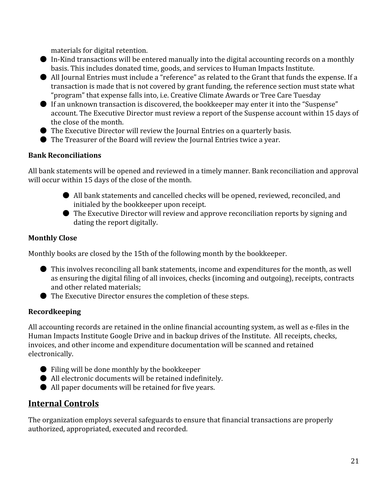materials for digital retention.

- $\bullet$  In-Kind transactions will be entered manually into the digital accounting records on a monthly basis. This includes donated time, goods, and services to Human Impacts Institute.
- All Journal Entries must include a "reference" as related to the Grant that funds the expense. If a transaction is made that is not covered by grant funding, the reference section must state what "program" that expense falls into, i.e. Creative Climate Awards or Tree Care Tuesday
- If an unknown transaction is discovered, the bookkeeper may enter it into the "Suspense" account. The Executive Director must review a report of the Suspense account within 15 days of the close of the month.
- The Executive Director will review the Journal Entries on a quarterly basis.
- The Treasurer of the Board will review the Journal Entries twice a year.

#### **Bank Reconciliations**

All bank statements will be opened and reviewed in a timely manner. Bank reconciliation and approval will occur within 15 days of the close of the month.

- All bank statements and cancelled checks will be opened, reviewed, reconciled, and initialed by the bookkeeper upon receipt.
- The Executive Director will review and approve reconciliation reports by signing and dating the report digitally.

#### **Monthly Close**

Monthly books are closed by the 15th of the following month by the bookkeeper.

- This involves reconciling all bank statements, income and expenditures for the month, as well as ensuring the digital filing of all invoices, checks (incoming and outgoing), receipts, contracts and other related materials;
- The Executive Director ensures the completion of these steps.

#### **Recordkeeping**

All accounting records are retained in the online financial accounting system, as well as e-files in the Human Impacts Institute Google Drive and in backup drives of the Institute. All receipts, checks, invoices, and other income and expenditure documentation will be scanned and retained electronically.

- Filing will be done monthly by the bookkeeper
- All electronic documents will be retained indefinitely.
- All paper documents will be retained for five years.

#### <span id="page-20-0"></span>**Internal Controls**

The organization employs several safeguards to ensure that financial transactions are properly authorized, appropriated, executed and recorded.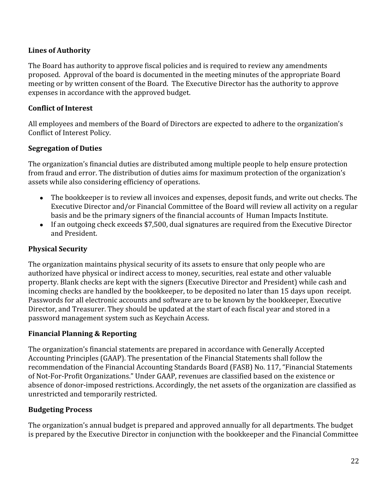#### **Lines of Authority**

The Board has authority to approve fiscal policies and is required to review any amendments proposed. Approval of the board is documented in the meeting minutes of the appropriate Board meeting or by written consent of the Board. The Executive Director has the authority to approve expenses in accordance with the approved budget.

#### **Conflict of Interest**

All employees and members of the Board of Directors are expected to adhere to the organization's Conflict of Interest Policy.

#### **Segregation of Duties**

The organization's financial duties are distributed among multiple people to help ensure protection from fraud and error. The distribution of duties aims for maximum protection of the organization's assets while also considering efficiency of operations.

- The bookkeeper is to review all invoices and expenses, deposit funds, and write out checks. The Executive Director and/or Financial Committee of the Board will review all activity on a regular basis and be the primary signers of the financial accounts of Human Impacts Institute.
- If an outgoing check exceeds \$7,500, dual signatures are required from the Executive Director and President.

#### <span id="page-21-0"></span>**Physical Security**

The organization maintains physical security of its assets to ensure that only people who are authorized have physical or indirect access to money, securities, real estate and other valuable property. Blank checks are kept with the signers (Executive Director and President) while cash and incoming checks are handled by the bookkeeper, to be deposited no later than 15 days upon receipt. Passwords for all electronic accounts and software are to be known by the bookkeeper, Executive Director, and Treasurer. They should be updated at the start of each fiscal year and stored in a password management system such as Keychain Access.

#### **Financial Planning & Reporting**

The organization's financial statements are prepared in accordance with Generally Accepted Accounting Principles (GAAP). The presentation of the Financial Statements shall follow the recommendation of the Financial Accounting Standards Board (FASB) No. 117, "Financial Statements of Not-For-Profit Organizations." Under GAAP, revenues are classified based on the existence or absence of donor-imposed restrictions. Accordingly, the net assets of the organization are classified as unrestricted and temporarily restricted.

#### **Budgeting Process**

The organization's annual budget is prepared and approved annually for all departments. The budget is prepared by the Executive Director in conjunction with the bookkeeper and the Financial Committee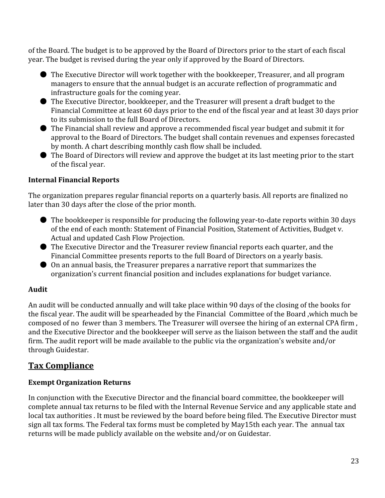of the Board. The budget is to be approved by the Board of Directors prior to the start of each fiscal year. The budget is revised during the year only if approved by the Board of Directors.

- The Executive Director will work together with the bookkeeper, Treasurer, and all program managers to ensure that the annual budget is an accurate reflection of programmatic and infrastructure goals for the coming year.
- The Executive Director, bookkeeper, and the Treasurer will present a draft budget to the Financial Committee at least 60 days prior to the end of the fiscal year and at least 30 days prior to its submission to the full Board of Directors.
- The Financial shall review and approve a recommended fiscal year budget and submit it for approval to the Board of Directors. The budget shall contain revenues and expenses forecasted by month. A chart describing monthly cash flow shall be included.
- The Board of Directors will review and approve the budget at its last meeting prior to the start of the fiscal year.

#### **Internal Financial Reports**

The organization prepares regular financial reports on a quarterly basis. All reports are finalized no later than 30 days after the close of the prior month.

- $\bullet$  The bookkeeper is responsible for producing the following year-to-date reports within 30 days of the end of each month: Statement of Financial Position, Statement of Activities, Budget v. Actual and updated Cash Flow Projection.
- The Executive Director and the Treasurer review financial reports each quarter, and the Financial Committee presents reports to the full Board of Directors on a yearly basis.
- On an annual basis, the Treasurer prepares a narrative report that summarizes the organization's current financial position and includes explanations for budget variance.

#### **Audit**

An audit will be conducted annually and will take place within 90 days of the closing of the books for the fiscal year. The audit will be spearheaded by the Financial Committee of the Board ,which much be composed of no fewer than 3 members. The Treasurer will oversee the hiring of an external CPA firm , and the Executive Director and the bookkeeper will serve as the liaison between the staff and the audit firm. The audit report will be made available to the public via the organization's website and/or through Guidestar.

#### <span id="page-22-0"></span>**Tax Compliance**

#### **Exempt Organization Returns**

In conjunction with the Executive Director and the financial board committee, the bookkeeper will complete annual tax returns to be filed with the Internal Revenue Service and any applicable state and local tax authorities . It must be reviewed by the board before being filed. The Executive Director must sign all tax forms. The Federal tax forms must be completed by May15th each year. The annual tax returns will be made publicly available on the website and/or on Guidestar.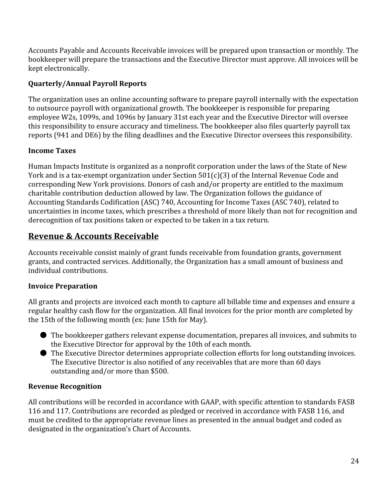Accounts Payable and Accounts Receivable invoices will be prepared upon transaction or monthly. The bookkeeper will prepare the transactions and the Executive Director must approve. All invoices will be kept electronically.

#### **Quarterly/Annual Payroll Reports**

The organization uses an online accounting software to prepare payroll internally with the expectation to outsource payroll with organizational growth. The bookkeeper is responsible for preparing employee W2s, 1099s, and 1096s by January 31st each year and the Executive Director will oversee this responsibility to ensure accuracy and timeliness. The bookkeeper also files quarterly payroll tax reports (941 and DE6) by the filing deadlines and the Executive Director oversees this responsibility.

#### **Income Taxes**

Human Impacts Institute is organized as a nonprofit corporation under the laws of the State of New York and is a tax-exempt organization under Section  $501(c)(3)$  of the Internal Revenue Code and corresponding New York provisions. Donors of cash and/or property are entitled to the maximum charitable contribution deduction allowed by law. The Organization follows the guidance of Accounting Standards Codification (ASC) 740, Accounting for Income Taxes (ASC 740), related to uncertainties in income taxes, which prescribes a threshold of more likely than not for recognition and derecognition of tax positions taken or expected to be taken in a tax return.

#### <span id="page-23-0"></span>**Revenue & Accounts Receivable**

Accounts receivable consist mainly of grant funds receivable from foundation grants, government grants, and contracted services. Additionally, the Organization has a small amount of business and individual contributions.

#### **Invoice Preparation**

All grants and projects are invoiced each month to capture all billable time and expenses and ensure a regular healthy cash flow for the organization. All final invoices for the prior month are completed by the 15th of the following month (ex: June 15th for May).

- The bookkeeper gathers relevant expense documentation, prepares all invoices, and submits to the Executive Director for approval by the 10th of each month.
- The Executive Director determines appropriate collection efforts for long outstanding invoices. The Executive Director is also notified of any receivables that are more than 60 days outstanding and/or more than \$500.

#### **Revenue Recognition**

All contributions will be recorded in accordance with GAAP, with specific attention to standards FASB 116 and 117. Contributions are recorded as pledged or received in accordance with FASB 116, and must be credited to the appropriate revenue lines as presented in the annual budget and coded as designated in the organization's Chart of Accounts.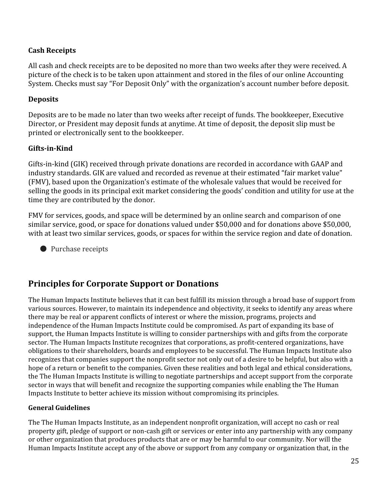#### **Cash Receipts**

All cash and check receipts are to be deposited no more than two weeks after they were received. A picture of the check is to be taken upon attainment and stored in the files of our online Accounting System. Checks must say "For Deposit Only" with the organization's account number before deposit.

#### **Deposits**

Deposits are to be made no later than two weeks after receipt of funds. The bookkeeper, Executive Director, or President may deposit funds at anytime. At time of deposit, the deposit slip must be printed or electronically sent to the bookkeeper.

#### **Gifts-in-Kind**

Gifts-in-kind (GIK) received through private donations are recorded in accordance with GAAP and industry standards. GIK are valued and recorded as revenue at their estimated "fair market value" (FMV), based upon the Organization's estimate of the wholesale values that would be received for selling the goods in its principal exit market considering the goods' condition and utility for use at the time they are contributed by the donor.

FMV for services, goods, and space will be determined by an online search and comparison of one similar service, good, or space for donations valued under \$50,000 and for donations above \$50,000, with at least two similar services, goods, or spaces for within the service region and date of donation.

● Purchase receipts

#### **Principles for Corporate Support or Donations**

The Human Impacts Institute believes that it can best fulfill its mission through a broad base of support from various sources. However, to maintain its independence and objectivity, it seeks to identify any areas where there may be real or apparent conflicts of interest or where the mission, programs, projects and independence of the Human Impacts Institute could be compromised. As part of expanding its base of support, the Human Impacts Institute is willing to consider partnerships with and gifts from the corporate sector. The Human Impacts Institute recognizes that corporations, as profit-centered organizations, have obligations to their shareholders, boards and employees to be successful. The Human Impacts Institute also recognizes that companies support the nonprofit sector not only out of a desire to be helpful, but also with a hope of a return or benefit to the companies. Given these realities and both legal and ethical considerations, the The Human Impacts Institute is willing to negotiate partnerships and accept support from the corporate sector in ways that will benefit and recognize the supporting companies while enabling the The Human Impacts Institute to better achieve its mission without compromising its principles.

#### **General Guidelines**

The The Human Impacts Institute, as an independent nonprofit organization, will accept no cash or real property gift, pledge of support or non-cash gift or services or enter into any partnership with any company or other organization that produces products that are or may be harmful to our community. Nor will the Human Impacts Institute accept any of the above or support from any company or organization that, in the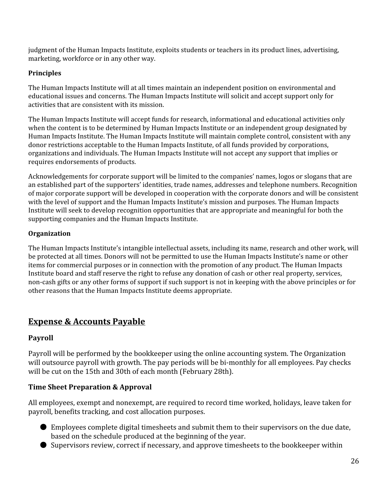judgment of the Human Impacts Institute, exploits students or teachers in its product lines, advertising, marketing, workforce or in any other way.

#### **Principles**

The Human Impacts Institute will at all times maintain an independent position on environmental and educational issues and concerns. The Human Impacts Institute will solicit and accept support only for activities that are consistent with its mission.

The Human Impacts Institute will accept funds for research, informational and educational activities only when the content is to be determined by Human Impacts Institute or an independent group designated by Human Impacts Institute. The Human Impacts Institute will maintain complete control, consistent with any donor restrictions acceptable to the Human Impacts Institute, of all funds provided by corporations, organizations and individuals. The Human Impacts Institute will not accept any support that implies or requires endorsements of products.

Acknowledgements for corporate support will be limited to the companies' names, logos or slogans that are an established part of the supporters' identities, trade names, addresses and telephone numbers. Recognition of major corporate support will be developed in cooperation with the corporate donors and will be consistent with the level of support and the Human Impacts Institute's mission and purposes. The Human Impacts Institute will seek to develop recognition opportunities that are appropriate and meaningful for both the supporting companies and the Human Impacts Institute.

#### **Organization**

The Human Impacts Institute's intangible intellectual assets, including its name, research and other work, will be protected at all times. Donors will not be permitted to use the Human Impacts Institute's name or other items for commercial purposes or in connection with the promotion of any product. The Human Impacts Institute board and staff reserve the right to refuse any donation of cash or other real property, services, non-cash gifts or any other forms of support if such support is not in keeping with the above principles or for other reasons that the Human Impacts Institute deems appropriate.

#### <span id="page-25-0"></span>**Expense & Accounts Payable**

#### **Payroll**

Payroll will be performed by the bookkeeper using the online accounting system. The Organization will outsource payroll with growth. The pay periods will be bi-monthly for all employees. Pay checks will be cut on the 15th and 30th of each month (February 28th).

#### **Time Sheet Preparation & Approval**

All employees, exempt and nonexempt, are required to record time worked, holidays, leave taken for payroll, benefits tracking, and cost allocation purposes.

- Employees complete digital timesheets and submit them to their supervisors on the due date, based on the schedule produced at the beginning of the year.
- Supervisors review, correct if necessary, and approve timesheets to the bookkeeper within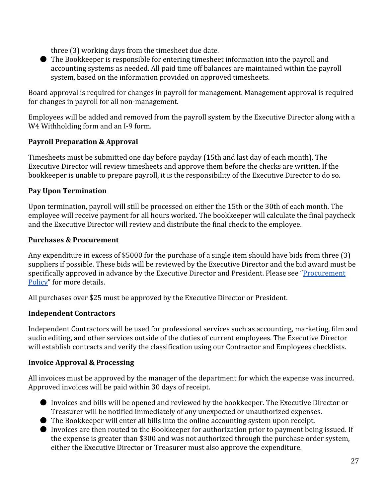three (3) working days from the timesheet due date.

● The Bookkeeper is responsible for entering timesheet information into the payroll and accounting systems as needed. All paid time off balances are maintained within the payroll system, based on the information provided on approved timesheets.

Board approval is required for changes in payroll for management. Management approval is required for changes in payroll for all non-management.

Employees will be added and removed from the payroll system by the Executive Director along with a W4 Withholding form and an I-9 form.

#### **Payroll Preparation & Approval**

Timesheets must be submitted one day before payday (15th and last day of each month). The Executive Director will review timesheets and approve them before the checks are written. If the bookkeeper is unable to prepare payroll, it is the responsibility of the Executive Director to do so.

#### **Pay Upon Termination**

Upon termination, payroll will still be processed on either the 15th or the 30th of each month. The employee will receive payment for all hours worked. The bookkeeper will calculate the final paycheck and the Executive Director will review and distribute the final check to the employee.

#### **Purchases & Procurement**

Any expenditure in excess of \$5000 for the purchase of a single item should have bids from three (3) suppliers if possible. These bids will be reviewed by the Executive Director and the bid award must be specifically approved in advance by the Executive Director and President. Please see ["Procurement](#page-29-0) [Policy"](#page-29-0) for more details.

All purchases over \$25 must be approved by the Executive Director or President.

#### **Independent Contractors**

Independent Contractors will be used for professional services such as accounting, marketing, film and audio editing, and other services outside of the duties of current employees. The Executive Director will establish contracts and verify the classification using our Contractor and Employees checklists.

#### **Invoice Approval & Processing**

All invoices must be approved by the manager of the department for which the expense was incurred. Approved invoices will be paid within 30 days of receipt.

- Invoices and bills will be opened and reviewed by the bookkeeper. The Executive Director or Treasurer will be notified immediately of any unexpected or unauthorized expenses.
- The Bookkeeper will enter all bills into the online accounting system upon receipt.
- Invoices are then routed to the Bookkeeper for authorization prior to payment being issued. If the expense is greater than \$300 and was not authorized through the purchase order system, either the Executive Director or Treasurer must also approve the expenditure.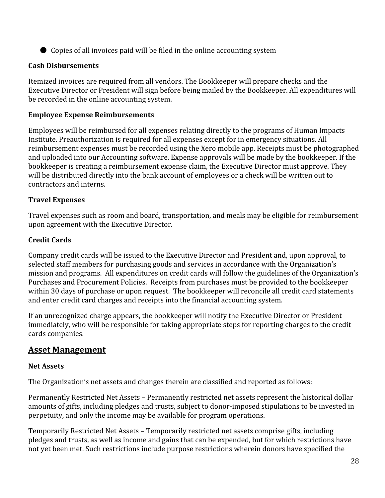● Copies of all invoices paid will be filed in the online accounting system

#### **Cash Disbursements**

Itemized invoices are required from all vendors. The Bookkeeper will prepare checks and the Executive Director or President will sign before being mailed by the Bookkeeper. All expenditures will be recorded in the online accounting system.

#### **Employee Expense Reimbursements**

Employees will be reimbursed for all expenses relating directly to the programs of Human Impacts Institute. Preauthorization is required for all expenses except for in emergency situations. All reimbursement expenses must be recorded using the Xero mobile app. Receipts must be photographed and uploaded into our Accounting software. Expense approvals will be made by the bookkeeper. If the bookkeeper is creating a reimbursement expense claim, the Executive Director must approve. They will be distributed directly into the bank account of employees or a check will be written out to contractors and interns.

#### **Travel Expenses**

Travel expenses such as room and board, transportation, and meals may be eligible for reimbursement upon agreement with the Executive Director.

#### **Credit Cards**

Company credit cards will be issued to the Executive Director and President and, upon approval, to selected staff members for purchasing goods and services in accordance with the Organization's mission and programs. All expenditures on credit cards will follow the guidelines of the Organization's Purchases and Procurement Policies. Receipts from purchases must be provided to the bookkeeper within 30 days of purchase or upon request. The bookkeeper will reconcile all credit card statements and enter credit card charges and receipts into the financial accounting system.

If an unrecognized charge appears, the bookkeeper will notify the Executive Director or President immediately, who will be responsible for taking appropriate steps for reporting charges to the credit cards companies.

#### <span id="page-27-0"></span>**Asset Management**

#### **Net Assets**

The Organization's net assets and changes therein are classified and reported as follows:

Permanently Restricted Net Assets – Permanently restricted net assets represent the historical dollar amounts of gifts, including pledges and trusts, subject to donor-imposed stipulations to be invested in perpetuity, and only the income may be available for program operations.

Temporarily Restricted Net Assets – Temporarily restricted net assets comprise gifts, including pledges and trusts, as well as income and gains that can be expended, but for which restrictions have not yet been met. Such restrictions include purpose restrictions wherein donors have specified the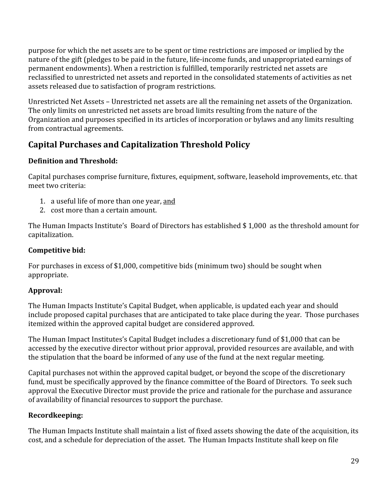purpose for which the net assets are to be spent or time restrictions are imposed or implied by the nature of the gift (pledges to be paid in the future, life-income funds, and unappropriated earnings of permanent endowments). When a restriction is fulfilled, temporarily restricted net assets are reclassified to unrestricted net assets and reported in the consolidated statements of activities as net assets released due to satisfaction of program restrictions.

Unrestricted Net Assets – Unrestricted net assets are all the remaining net assets of the Organization. The only limits on unrestricted net assets are broad limits resulting from the nature of the Organization and purposes specified in its articles of incorporation or bylaws and any limits resulting from contractual agreements.

#### **Capital Purchases and Capitalization Threshold Policy**

#### **Definition and Threshold:**

Capital purchases comprise furniture, fixtures, equipment, software, leasehold improvements, etc. that meet two criteria:

- 1. a useful life of more than one year, and
- 2. cost more than a certain amount.

The Human Impacts Institute's Board of Directors has established \$ 1,000 as the threshold amount for capitalization.

#### **Competitive bid:**

For purchases in excess of \$1,000, competitive bids (minimum two) should be sought when appropriate.

#### **Approval:**

The Human Impacts Institute's Capital Budget, when applicable, is updated each year and should include proposed capital purchases that are anticipated to take place during the year. Those purchases itemized within the approved capital budget are considered approved.

The Human Impact Institutes's Capital Budget includes a discretionary fund of \$1,000 that can be accessed by the executive director without prior approval, provided resources are available, and with the stipulation that the board be informed of any use of the fund at the next regular meeting.

Capital purchases not within the approved capital budget, or beyond the scope of the discretionary fund, must be specifically approved by the finance committee of the Board of Directors. To seek such approval the Executive Director must provide the price and rationale for the purchase and assurance of availability of financial resources to support the purchase.

#### **Recordkeeping:**

The Human Impacts Institute shall maintain a list of fixed assets showing the date of the acquisition, its cost, and a schedule for depreciation of the asset. The Human Impacts Institute shall keep on file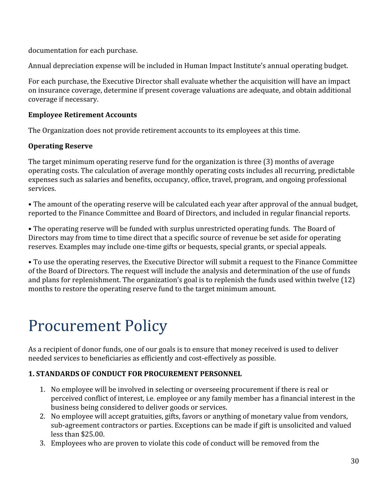documentation for each purchase.

Annual depreciation expense will be included in Human Impact Institute's annual operating budget.

For each purchase, the Executive Director shall evaluate whether the acquisition will have an impact on insurance coverage, determine if present coverage valuations are adequate, and obtain additional coverage if necessary.

#### **Employee Retirement Accounts**

The Organization does not provide retirement accounts to its employees at this time.

#### **Operating Reserve**

The target minimum operating reserve fund for the organization is three (3) months of average operating costs. The calculation of average monthly operating costs includes all recurring, predictable expenses such as salaries and benefits, occupancy, office, travel, program, and ongoing professional services.

• The amount of the operating reserve will be calculated each year after approval of the annual budget, reported to the Finance Committee and Board of Directors, and included in regular financial reports.

• The operating reserve will be funded with surplus unrestricted operating funds. The Board of Directors may from time to time direct that a specific source of revenue be set aside for operating reserves. Examples may include one-time gifts or bequests, special grants, or special appeals.

• To use the operating reserves, the Executive Director will submit a request to the Finance Committee of the Board of Directors. The request will include the analysis and determination of the use of funds and plans for replenishment. The organization's goal is to replenish the funds used within twelve (12) months to restore the operating reserve fund to the target minimum amount.

# <span id="page-29-0"></span>Procurement Policy

As a recipient of donor funds, one of our goals is to ensure that money received is used to deliver needed services to beneficiaries as efficiently and cost-effectively as possible.

#### **1. STANDARDS OF CONDUCT FOR PROCUREMENT PERSONNEL**

- 1. No employee will be involved in selecting or overseeing procurement if there is real or perceived conflict of interest, i.e. employee or any family member has a financial interest in the business being considered to deliver goods or services.
- 2. No employee will accept gratuities, gifts, favors or anything of monetary value from vendors, sub-agreement contractors or parties. Exceptions can be made if gift is unsolicited and valued less than \$25.00.
- 3. Employees who are proven to violate this code of conduct will be removed from the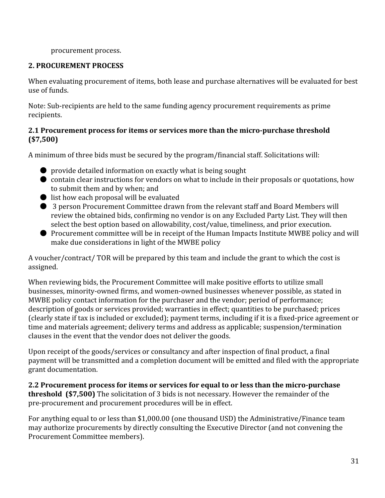#### procurement process.

#### **2. PROCUREMENT PROCESS**

When evaluating procurement of items, both lease and purchase alternatives will be evaluated for best use of funds.

Note: Sub-recipients are held to the same funding agency procurement requirements as prime recipients.

#### **2.1 Procurement process for items or services more than the micropurchase threshold (\$7,500)**

A minimum of three bids must be secured by the program/financial staff. Solicitations will:

- $\bullet$  provide detailed information on exactly what is being sought
- contain clear instructions for vendors on what to include in their proposals or quotations, how to submit them and by when; and
- list how each proposal will be evaluated
- 3 person Procurement Committee drawn from the relevant staff and Board Members will review the obtained bids, confirming no vendor is on any Excluded Party List. They will then select the best option based on allowability, cost/value, timeliness, and prior execution.
- Procurement committee will be in receipt of the Human Impacts Institute MWBE policy and will make due considerations in light of the MWBE policy

A voucher/contract/ TOR will be prepared by this team and include the grant to which the cost is assigned.

When reviewing bids, the Procurement Committee will make positive efforts to utilize small businesses, minority-owned firms, and women-owned businesses whenever possible, as stated in MWBE policy contact information for the purchaser and the vendor; period of performance; description of goods or services provided; warranties in effect; quantities to be purchased; prices (clearly state if tax is included or excluded); payment terms, including if it is a fixed-price agreement or time and materials agreement; delivery terms and address as applicable; suspension/termination clauses in the event that the vendor does not deliver the goods.

Upon receipt of the goods/services or consultancy and after inspection of final product, a final payment will be transmitted and a completion document will be emitted and filed with the appropriate grant documentation.

**2.2 Procurement process for items or services for equal to or less than the micropurchase threshold (\$7,500)** The solicitation of 3 bids is not necessary. However the remainder of the pre-procurement and procurement procedures will be in effect.

For anything equal to or less than \$1,000.00 (one thousand USD) the Administrative/Finance team may authorize procurements by directly consulting the Executive Director (and not convening the Procurement Committee members).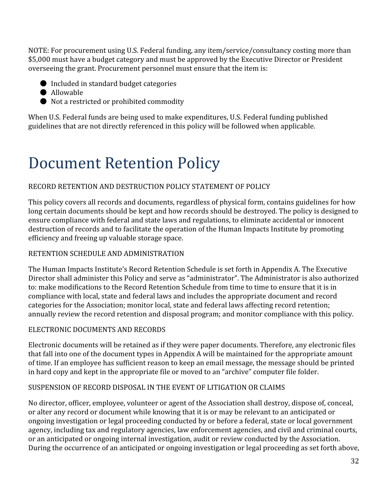NOTE: For procurement using U.S. Federal funding, any item/service/consultancy costing more than \$5,000 must have a budget category and must be approved by the Executive Director or President overseeing the grant. Procurement personnel must ensure that the item is:

- Included in standard budget categories
- Allowable
- Not a restricted or prohibited commodity

When U.S. Federal funds are being used to make expenditures, U.S. Federal funding published guidelines that are not directly referenced in this policy will be followed when applicable.

# <span id="page-31-0"></span>Document Retention Policy

#### RECORD RETENTION AND DESTRUCTION POLICY STATEMENT OF POLICY

This policy covers all records and documents, regardless of physical form, contains guidelines for how long certain documents should be kept and how records should be destroyed. The policy is designed to ensure compliance with federal and state laws and regulations, to eliminate accidental or innocent destruction of records and to facilitate the operation of the Human Impacts Institute by promoting efficiency and freeing up valuable storage space.

#### RETENTION SCHEDULE AND ADMINISTRATION

The Human Impacts Institute's Record Retention Schedule is set forth in Appendix A. The Executive Director shall administer this Policy and serve as "administrator". The Administrator is also authorized to: make modifications to the Record Retention Schedule from time to time to ensure that it is in compliance with local, state and federal laws and includes the appropriate document and record categories for the Association; monitor local, state and federal laws affecting record retention; annually review the record retention and disposal program; and monitor compliance with this policy.

#### ELECTRONIC DOCUMENTS AND RECORDS

Electronic documents will be retained as if they were paper documents. Therefore, any electronic files that fall into one of the document types in Appendix A will be maintained for the appropriate amount of time. If an employee has sufficient reason to keep an email message, the message should be printed in hard copy and kept in the appropriate file or moved to an "archive" computer file folder.

#### SUSPENSION OF RECORD DISPOSAL IN THE EVENT OF LITIGATION OR CLAIMS

No director, officer, employee, volunteer or agent of the Association shall destroy, dispose of, conceal, or alter any record or document while knowing that it is or may be relevant to an anticipated or ongoing investigation or legal proceeding conducted by or before a federal, state or local government agency, including tax and regulatory agencies, law enforcement agencies, and civil and criminal courts, or an anticipated or ongoing internal investigation, audit or review conducted by the Association. During the occurrence of an anticipated or ongoing investigation or legal proceeding as set forth above,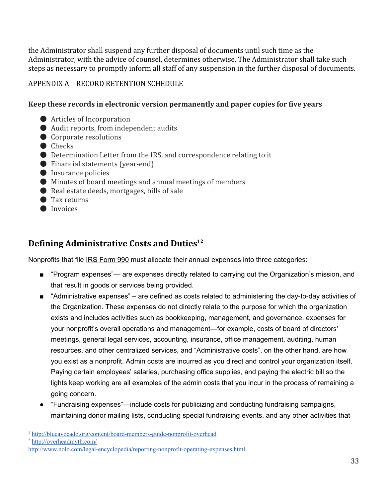the Administrator shall suspend any further disposal of documents until such time as the Administrator, with the advice of counsel, determines otherwise. The Administrator shall take such steps as necessary to promptly inform all staff of any suspension in the further disposal of documents.

#### APPENDIX A – RECORD RETENTION SCHEDULE

#### **Keep these records in electronic version permanently and paper copies for five years**

- **●** Articles of Incorporation
- Audit reports, from independent audits
- Corporate resolutions
- Checks
- Determination Letter from the IRS, and correspondence relating to it
- $\bullet$  Financial statements (year-end)
- Insurance policies
- Minutes of board meetings and annual meetings of members
- Real estate deeds, mortgages, bills of sale
- Tax returns
- Invoices

#### <span id="page-32-0"></span>**Defining Administrative Costs and Duties 12**

Nonprofits that file IRS [Form](http://www.nolo.com/legal-encyclopedia/irs-form-990) 990 must allocate their annual expenses into three categories:

- "Program expenses"— are expenses directly related to carrying out the Organization's mission, and that result in goods or services being provided.
- $\blacksquare$  "Administrative expenses" are defined as costs related to administering the day-to-day activities of the Organization. These expenses do not directly relate to the purpose for which the organization exists and includes activities such as bookkeeping, management, and governance. expenses for your nonprofit's overall operations and management—for example, costs of board of directors' meetings, general legal services, accounting, insurance, office management, auditing, human resources, and other centralized services, and "Administrative costs", on the other hand, are how you exist as a nonprofit. Admin costs are incurred as you direct and control your organization itself. Paying certain employees' salaries, purchasing office supplies, and paying the electric bill so the lights keep working are all examples of the admin costs that you incur in the process of remaining a going concern.
- "Fundraising expenses"—include costs for publicizing and conducting fundraising campaigns, maintaining donor mailing lists, conducting special fundraising events, and any other activities that

<sup>&</sup>lt;sup>1</sup> http://blueavocado.org/content/board-members-guide-nonprofit-overhead

<sup>2</sup> <http://overheadmyth.com/>

http://www.nolo.com/legal-encyclopedia/reporting-nonprofit-operating-expenses.html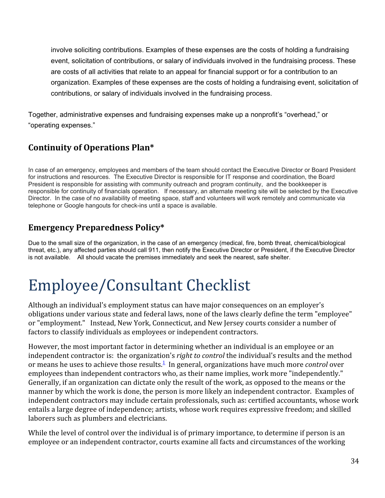involve soliciting contributions. Examples of these expenses are the costs of holding a fundraising event, solicitation of contributions, or salary of individuals involved in the fundraising process. These are costs of all activities that relate to an appeal for financial support or for a contribution to an organization. Examples of these expenses are the costs of holding a fundraising event, solicitation of contributions, or salary of individuals involved in the fundraising process.

Together, administrative expenses and fundraising expenses make up a nonprofit's "overhead," or "operating expenses."

#### <span id="page-33-0"></span>**Continuity of Operations Plan\***

In case of an emergency, employees and members of the team should contact the Executive Director or Board President for instructions and resources. The Executive Director is responsible for IT response and coordination, the Board President is responsible for assisting with community outreach and program continuity, and the bookkeeper is responsible for continuity of financials operation. If necessary, an alternate meeting site will be selected by the Executive Director. In the case of no availability of meeting space, staff and volunteers will work remotely and communicate via telephone or Google hangouts for check-ins until a space is available.

#### <span id="page-33-1"></span>**Emergency Preparedness Policy\***

Due to the small size of the organization, in the case of an emergency (medical, fire, bomb threat, chemical/biological threat, etc.), any affected parties should call 911, then notify the Executive Director or President, if the Executive Director is not available. All should vacate the premises immediately and seek the nearest, safe shelter.

# Employee/Consultant Checklist

Although an individual's employment status can have major consequences on an employer's obligations under various state and federal laws, none of the laws clearly define the term "employee" or "employment." Instead, New York, Connecticut, and New Jersey courts consider a number of factors to classify individuals as employees or independent contractors.

However, the most important factor in determining whether an individual is an employee or an independent contractor is: the organization's *right to control* the individual's results and the method or means he uses to achieve those results. [1](http://www.probonopartner.org/PBPGuide/PBPHandbook-03.htm#1) In general, organizations have much more *control* over employees than independent contractors who, as their name implies, work more "independently." Generally, if an organization can dictate only the result of the work, as opposed to the means or the manner by which the work is done, the person is more likely an independent contractor. Examples of independent contractors may include certain professionals, such as: certified accountants, whose work entails a large degree of independence; artists, whose work requires expressive freedom; and skilled laborers such as plumbers and electricians.

While the level of control over the individual is of primary importance, to determine if person is an employee or an independent contractor, courts examine all facts and circumstances of the working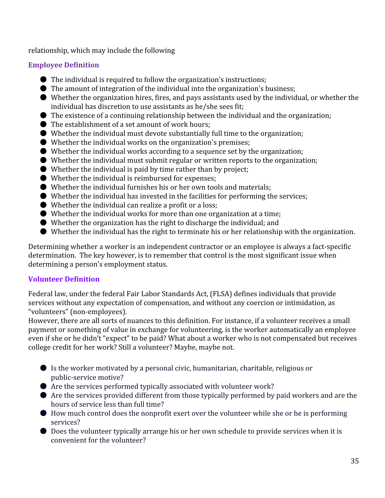relationship, which may include the following

#### **Employee Definition**

- The individual is required to follow the organization's instructions;
- The amount of integration of the individual into the organization's business;
- Whether the organization hires, fires, and pays assistants used by the individual, or whether the individual has discretion to use assistants as he/she sees fit;
- $\bullet$  The existence of a continuing relationship between the individual and the organization;
- The establishment of a set amount of work hours;
- $\bullet$  Whether the individual must devote substantially full time to the organization;
- $\bullet$  Whether the individual works on the organization's premises:
- $\bullet$  Whether the individual works according to a sequence set by the organization;
- Whether the individual must submit regular or written reports to the organization;
- $\bullet$  Whether the individual is paid by time rather than by project;
- Whether the individual is reimbursed for expenses;
- Whether the individual furnishes his or her own tools and materials;
- $\bullet$  Whether the individual has invested in the facilities for performing the services;
- $\bullet$  Whether the individual can realize a profit or a loss;
- Whether the individual works for more than one organization at a time;
- Whether the organization has the right to discharge the individual; and
- Whether the individual has the right to terminate his or her relationship with the organization.

Determining whether a worker is an independent contractor or an employee is always a fact-specific determination. The key however, is to remember that control is the most significant issue when determining a person's employment status.

#### **Volunteer Definition**

Federal law, under the federal Fair Labor Standards Act, (FLSA) defines individuals that provide services without any expectation of compensation, and without any coercion or intimidation, as "volunteers" (non-employees).

However, there are all sorts of nuances to this definition. For instance, if a volunteer receives a small payment or something of value in exchange for volunteering, is the worker automatically an employee even if she or he didn't "expect" to be paid? What about a worker who is not compensated but receives college credit for her work? Still a volunteer? Maybe, maybe not.

- Is the worker motivated by a personal civic, humanitarian, charitable, religious or public-service motive?
- $\bullet$  Are the services performed typically associated with volunteer work?
- Are the services provided different from those typically performed by paid workers and are the hours of service less than full time?
- How much control does the nonprofit exert over the volunteer while she or he is performing services?
- Does the volunteer typically arrange his or her own schedule to provide services when it is convenient for the volunteer?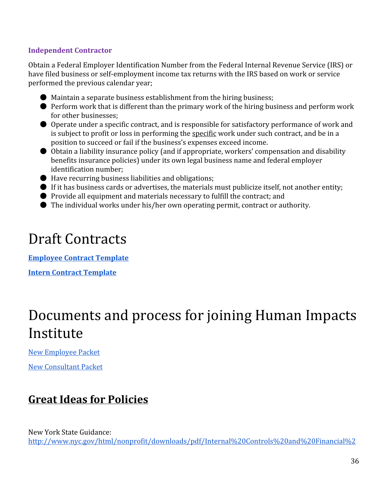#### **Independent Contractor**

Obtain a Federal Employer Identification Number from the Federal Internal Revenue Service (IRS) or have filed business or self-employment income tax returns with the IRS based on work or service performed the previous calendar year;

- $\bullet$  Maintain a separate business establishment from the hiring business;
- Perform work that is different than the primary work of the hiring business and perform work for other businesses;
- Operate under a specific contract, and is responsible for satisfactory performance of work and is subject to profit or loss in performing the specific work under such contract, and be in a position to succeed or fail if the business's expenses exceed income.
- Obtain a liability insurance policy (and if appropriate, workers' compensation and disability benefits insurance policies) under its own legal business name and federal employer identification number;
- $\bullet$  Have recurring business liabilities and obligations;
- If it has business cards or advertises, the materials must publicize itself, not another entity;
- Provide all equipment and materials necessary to fulfill the contract; and
- The individual works under his/her own operating permit, contract or authority.

## Draft Contracts

**[Employee](https://docs.google.com/document/d/18hiREN6MbLmTJIHaeZz7a48DMu0WovwZqR4k0ecnRzk/edit) Contract Template Intern [Contract](https://docs.google.com/document/d/1grFdGW1IbN-0sFlEst3OXMZjlCETSUZT5JrkRDdFCfk/edit)Template**

## Documents and process for joining Human Impacts Institute

New [Employee](https://drive.google.com/a/humanimpactsinstitute.org/folderview?id=0B6Q2RN2BNCkpfl9ISTIxSndSZDlXZVBrNEVtdTZmNXgtWHROSDRWcjduWXAyNTVsbXR5OU0&usp=sharing) Packet

New [Consultant](https://drive.google.com/a/humanimpactsinstitute.org/folderview?id=0B6Q2RN2BNCkpfjVlcTVvZlZLSktlMGlfOV9rbk5JSGI2ZlZITTNoTHpRUURmeldMdFJaTjA&usp=sharing) Packet

### <span id="page-35-0"></span>**Great Ideas for Policies**

New York State Guidance: [http://www.nyc.gov/html/nonprofit/downloads/pdf/Internal%20Controls%20and%20Financial%2](http://www.nyc.gov/html/nonprofit/downloads/pdf/Internal%20Controls%20and%20Financial%20Accountability%20for%20Not-for-Profit%20Board%20OAG.pdf)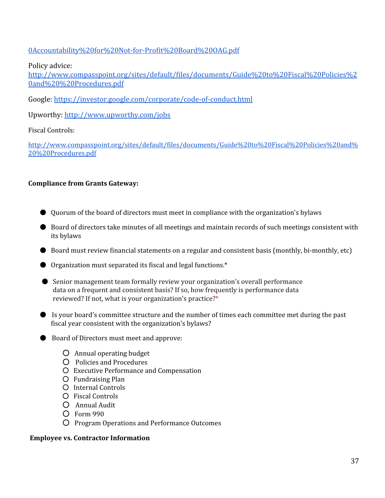#### 0Accountability%20for%20Not-for-Profit%20Board%20OAG.pdf

#### Policy advice:

[http://www.compasspoint.org/sites/default/files/documents/Guide%20to%20Fiscal%20Policies%2](http://www.compasspoint.org/sites/default/files/documents/Guide%20to%20Fiscal%20Policies%20and%20%20Procedures.pdf) [0and%20%20Procedures.pdf](http://www.compasspoint.org/sites/default/files/documents/Guide%20to%20Fiscal%20Policies%20and%20%20Procedures.pdf)

Google: https://investor.google.com/corporate/code-of-conduct.html

Upworthy: <http://www.upworthy.com/jobs>

#### Fiscal Controls:

[http://www.compasspoint.org/sites/default/files/documents/Guide%20to%20Fiscal%20Policies%20and%](http://www.compasspoint.org/sites/default/files/documents/Guide%20to%20Fiscal%20Policies%20and%20%20Procedures.pdf) [20%20Procedures.pdf](http://www.compasspoint.org/sites/default/files/documents/Guide%20to%20Fiscal%20Policies%20and%20%20Procedures.pdf)

#### **Compliance from Grants Gateway:**

- Quorum of the board of directors must meet in compliance with the organization's bylaws
- Board of directors take minutes of all meetings and maintain records of such meetings consistent with its bylaws
- $\bullet$  Board must review financial statements on a regular and consistent basis (monthly, bi-monthly, etc)
- Organization must separated its fiscal and legal functions.\*
- Senior management team formally review your organization's overall performance data on a frequent and consistent basis? If so, how frequently is performance data reviewed? If not, what is your organization's practice?\*
- Is your board's committee structure and the number of times each committee met during the past fiscal year consistent with the organization's bylaws?
- Board of Directors must meet and approve:
	- Annual operating budget
	- Policies and Procedures
	- Executive Performance and Compensation
	- Fundraising Plan
	- Internal Controls
	- Fiscal Controls
	- Annual Audit
	- Form 990
	- Program Operations and Performance Outcomes

#### <span id="page-36-0"></span>**Employee vs. Contractor Information**